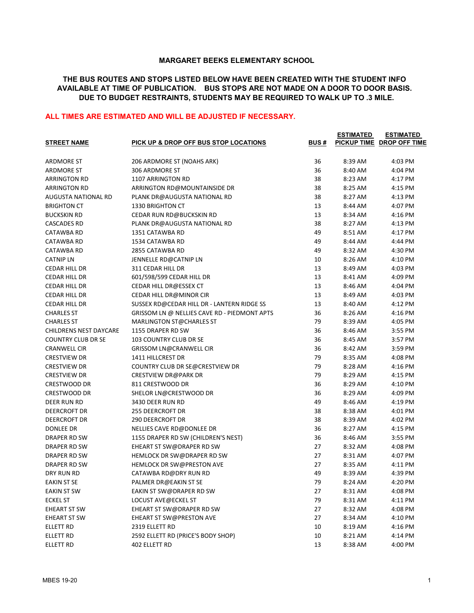## MARGARET BEEKS ELEMENTARY SCHOOL

## THE BUS ROUTES AND STOPS LISTED BELOW HAVE BEEN CREATED WITH THE STUDENT INFO AVAILABLE AT TIME OF PUBLICATION. BUS STOPS ARE NOT MADE ON A DOOR TO DOOR BASIS. DUE TO BUDGET RESTRAINTS, STUDENTS MAY BE REQUIRED TO WALK UP TO .3 MILE.

## ALL TIMES ARE ESTIMATED AND WILL BE ADJUSTED IF NECESSARY.

| <b>STREET NAME</b>        | <b>PICK UP &amp; DROP OFF BUS STOP LOCATIONS</b> | <b>BUS#</b> | <b>ESTIMATED</b> | <b>ESTIMATED</b><br>PICKUP TIME DROP OFF TIME |
|---------------------------|--------------------------------------------------|-------------|------------------|-----------------------------------------------|
|                           |                                                  |             |                  |                                               |
| <b>ARDMORE ST</b>         | 206 ARDMORE ST (NOAHS ARK)                       | 36          | 8:39 AM          | 4:03 PM                                       |
| <b>ARDMORE ST</b>         | 306 ARDMORE ST                                   | 36          | 8:40 AM          | 4:04 PM                                       |
| <b>ARRINGTON RD</b>       | 1107 ARRINGTON RD                                | 38          | 8:23 AM          | 4:17 PM                                       |
| <b>ARRINGTON RD</b>       | ARRINGTON RD@MOUNTAINSIDE DR                     | 38          | 8:25 AM          | 4:15 PM                                       |
| AUGUSTA NATIONAL RD       | PLANK DR@AUGUSTA NATIONAL RD                     | 38          | 8:27 AM          | 4:13 PM                                       |
| <b>BRIGHTON CT</b>        | 1330 BRIGHTON CT                                 | 13          | 8:44 AM          | 4:07 PM                                       |
| <b>BUCKSKIN RD</b>        | <b>CEDAR RUN RD@BUCKSKIN RD</b>                  | 13          | 8:34 AM          | 4:16 PM                                       |
| <b>CASCADES RD</b>        | PLANK DR@AUGUSTA NATIONAL RD                     | 38          | 8:27 AM          | 4:13 PM                                       |
| CATAWBA RD                | 1351 CATAWBA RD                                  | 49          | 8:51 AM          | 4:17 PM                                       |
| CATAWBA RD                | 1534 CATAWBA RD                                  | 49          | 8:44 AM          | 4:44 PM                                       |
| CATAWBA RD                | 2855 CATAWBA RD                                  | 49          | 8:32 AM          | 4:30 PM                                       |
| <b>CATNIP LN</b>          | JENNELLE RD@CATNIP LN                            | 10          | 8:26 AM          | 4:10 PM                                       |
| CEDAR HILL DR             | 311 CEDAR HILL DR                                | 13          | 8:49 AM          | 4:03 PM                                       |
| CEDAR HILL DR             | 601/598/599 CEDAR HILL DR                        | 13          | 8:41 AM          | 4:09 PM                                       |
| CEDAR HILL DR             | CEDAR HILL DR@ESSEX CT                           | 13          | 8:46 AM          | 4:04 PM                                       |
| CEDAR HILL DR             | CEDAR HILL DR@MINOR CIR                          | 13          | 8:49 AM          | 4:03 PM                                       |
| CEDAR HILL DR             | SUSSEX RD@CEDAR HILL DR - LANTERN RIDGE SS       | 13          | 8:40 AM          | 4:12 PM                                       |
| <b>CHARLES ST</b>         | GRISSOM LN @ NELLIES CAVE RD - PIEDMONT APTS     | 36          | 8:26 AM          | 4:16 PM                                       |
| <b>CHARLES ST</b>         | MARLINGTON ST@CHARLES ST                         | 79          | 8:39 AM          | 4:05 PM                                       |
| CHILDRENS NEST DAYCARE    | 1155 DRAPER RD SW                                | 36          | 8:46 AM          | 3:55 PM                                       |
| <b>COUNTRY CLUB DR SE</b> | <b>103 COUNTRY CLUB DR SE</b>                    | 36          | 8:45 AM          | 3:57 PM                                       |
| <b>CRANWELL CIR</b>       | GRISSOM LN@CRANWELL CIR                          | 36          | 8:42 AM          | 3:59 PM                                       |
| <b>CRESTVIEW DR</b>       | 1411 HILLCREST DR                                | 79          | 8:35 AM          | 4:08 PM                                       |
| <b>CRESTVIEW DR</b>       | COUNTRY CLUB DR SE@CRESTVIEW DR                  | 79          | 8:28 AM          | 4:16 PM                                       |
| <b>CRESTVIEW DR</b>       | <b>CRESTVIEW DR@PARK DR</b>                      | 79          | 8:29 AM          | 4:15 PM                                       |
| <b>CRESTWOOD DR</b>       | 811 CRESTWOOD DR                                 | 36          | 8:29 AM          | 4:10 PM                                       |
| <b>CRESTWOOD DR</b>       | SHELOR LN@CRESTWOOD DR                           | 36          | 8:29 AM          | 4:09 PM                                       |
| DEER RUN RD               | 3430 DEER RUN RD                                 | 49          | 8:46 AM          | 4:19 PM                                       |
| DEERCROFT DR              | 255 DEERCROFT DR                                 | 38          | 8:38 AM          | 4:01 PM                                       |
| DEERCROFT DR              | <b>290 DEERCROFT DR</b>                          | 38          | 8:39 AM          | 4:02 PM                                       |
| DONLEE DR                 | NELLIES CAVE RD@DONLEE DR                        | 36          | 8:27 AM          | 4:15 PM                                       |
| DRAPER RD SW              | 1155 DRAPER RD SW (CHILDREN'S NEST)              | 36          | 8:46 AM          | 3:55 PM                                       |
| DRAPER RD SW              | EHEART ST SW@DRAPER RD SW                        | 27          | 8:32 AM          | 4:08 PM                                       |
| DRAPER RD SW              | HEMLOCK DR SW@DRAPER RD SW                       | 27          | 8:31 AM          | 4:07 PM                                       |
| DRAPER RD SW              | <b>HEMLOCK DR SW@PRESTON AVE</b>                 | 27          | 8:35 AM          | 4:11 PM                                       |
| DRY RUN RD                | CATAWBA RD@DRY RUN RD                            | 49          | 8:39 AM          | 4:39 PM                                       |
| <b>EAKIN ST SE</b>        | PALMER DR@EAKIN ST SE                            | 79          | 8:24 AM          | 4:20 PM                                       |
| EAKIN ST SW               | EAKIN ST SW@DRAPER RD SW                         | 27          | 8:31 AM          | 4:08 PM                                       |
| <b>ECKEL ST</b>           | LOCUST AVE@ECKEL ST                              | 79          | 8:31 AM          | 4:11 PM                                       |
| EHEART ST SW              | EHEART ST SW@DRAPER RD SW                        | 27          | 8:32 AM          | 4:08 PM                                       |
| EHEART ST SW              | EHEART ST SW@PRESTON AVE                         | 27          | 8:34 AM          | 4:10 PM                                       |
| <b>ELLETT RD</b>          | 2319 ELLETT RD                                   | 10          | 8:19 AM          | 4:16 PM                                       |
| ELLETT RD                 | 2592 ELLETT RD (PRICE'S BODY SHOP)               | 10          | 8:21 AM          | 4:14 PM                                       |
| <b>ELLETT RD</b>          | 402 ELLETT RD                                    | 13          | 8:38 AM          | 4:00 PM                                       |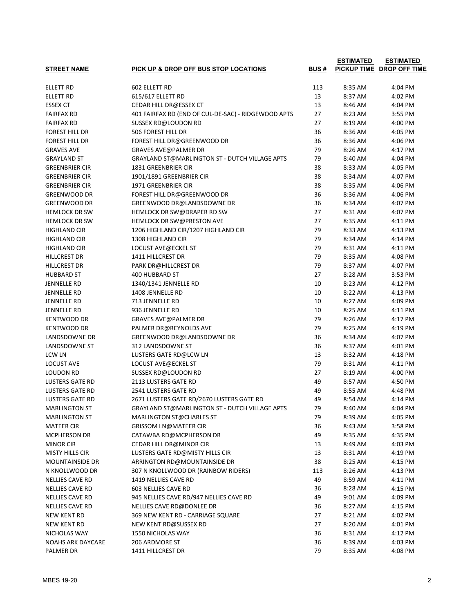|                          |                                                       |             | <b>ESTIMATED</b> | <b>ESTIMATED</b>          |
|--------------------------|-------------------------------------------------------|-------------|------------------|---------------------------|
| <b>STREET NAME</b>       | PICK UP & DROP OFF BUS STOP LOCATIONS                 | <b>BUS#</b> |                  | PICKUP TIME DROP OFF TIME |
| <b>ELLETT RD</b>         | 602 ELLETT RD                                         | 113         | 8:35 AM          | 4:04 PM                   |
| ELLETT RD                | 615/617 ELLETT RD                                     | 13          | 8:37 AM          | 4:02 PM                   |
| <b>ESSEX CT</b>          | CEDAR HILL DR@ESSEX CT                                | 13          | 8:46 AM          | 4:04 PM                   |
| <b>FAIRFAX RD</b>        | 401 FAIRFAX RD (END OF CUL-DE-SAC) - RIDGEWOOD APTS   | 27          | 8:23 AM          | 3:55 PM                   |
| <b>FAIRFAX RD</b>        | SUSSEX RD@LOUDON RD                                   | 27          | 8:19 AM          | 4:00 PM                   |
| FOREST HILL DR           | 506 FOREST HILL DR                                    | 36          | 8:36 AM          | 4:05 PM                   |
| FOREST HILL DR           | FOREST HILL DR@GREENWOOD DR                           | 36          | 8:36 AM          | 4:06 PM                   |
| <b>GRAVES AVE</b>        | <b>GRAVES AVE@PALMER DR</b>                           | 79          | 8:26 AM          | 4:17 PM                   |
| <b>GRAYLAND ST</b>       | <b>GRAYLAND ST@MARLINGTON ST - DUTCH VILLAGE APTS</b> | 79          | 8:40 AM          | 4:04 PM                   |
| <b>GREENBRIER CIR</b>    | 1831 GREENBRIER CIR                                   | 38          | 8:33 AM          | 4:05 PM                   |
| <b>GREENBRIER CIR</b>    | 1901/1891 GREENBRIER CIR                              | 38          | 8:34 AM          | 4:07 PM                   |
| <b>GREENBRIER CIR</b>    | 1971 GREENBRIER CIR                                   | 38          | 8:35 AM          | 4:06 PM                   |
| <b>GREENWOOD DR</b>      | FOREST HILL DR@GREENWOOD DR                           | 36          | 8:36 AM          | 4:06 PM                   |
| <b>GREENWOOD DR</b>      | GREENWOOD DR@LANDSDOWNE DR                            | 36          | 8:34 AM          | 4:07 PM                   |
| <b>HEMLOCK DR SW</b>     | HEMLOCK DR SW@DRAPER RD SW                            | 27          | 8:31 AM          | 4:07 PM                   |
| <b>HEMLOCK DR SW</b>     | <b>HEMLOCK DR SW@PRESTON AVE</b>                      | 27          | 8:35 AM          | 4:11 PM                   |
| HIGHLAND CIR             | 1206 HIGHLAND CIR/1207 HIGHLAND CIR                   | 79          | 8:33 AM          | 4:13 PM                   |
| HIGHLAND CIR             | 1308 HIGHLAND CIR                                     | 79          | 8:34 AM          | 4:14 PM                   |
| HIGHLAND CIR             | LOCUST AVE@ECKEL ST                                   | 79          | 8:31 AM          | 4:11 PM                   |
| HILLCREST DR             | 1411 HILLCREST DR                                     | 79          | 8:35 AM          | 4:08 PM                   |
| <b>HILLCREST DR</b>      | <b>PARK DR@HILLCREST DR</b>                           | 79          | 8:37 AM          | 4:07 PM                   |
| <b>HUBBARD ST</b>        | 400 HUBBARD ST                                        | 27          | 8:28 AM          | 3:53 PM                   |
| <b>JENNELLE RD</b>       | 1340/1341 JENNELLE RD                                 | 10          | 8:23 AM          | 4:12 PM                   |
| JENNELLE RD              | 1408 JENNELLE RD                                      | 10          | 8:22 AM          | 4:13 PM                   |
| JENNELLE RD              | 713 JENNELLE RD                                       | 10          | 8:27 AM          | 4:09 PM                   |
| JENNELLE RD              | 936 JENNELLE RD                                       | 10          | 8:25 AM          | 4:11 PM                   |
| <b>KENTWOOD DR</b>       | <b>GRAVES AVE@PALMER DR</b>                           | 79          | 8:26 AM          | 4:17 PM                   |
| KENTWOOD DR              | PALMER DR@REYNOLDS AVE                                | 79          | 8:25 AM          | 4:19 PM                   |
| LANDSDOWNE DR            | GREENWOOD DR@LANDSDOWNE DR                            | 36          | 8:34 AM          | 4:07 PM                   |
| LANDSDOWNE ST            | 312 LANDSDOWNE ST                                     | 36          | 8:37 AM          | 4:01 PM                   |
| <b>LCW LN</b>            | LUSTERS GATE RD@LCW LN                                | 13          | 8:32 AM          | 4:18 PM                   |
| <b>LOCUST AVE</b>        | LOCUST AVE@ECKEL ST                                   | 79          | 8:31 AM          | 4:11 PM                   |
| <b>LOUDON RD</b>         | <b>SUSSEX RD@LOUDON RD</b>                            | 27          | 8:19 AM          | 4:00 PM                   |
| <b>LUSTERS GATE RD</b>   | <b>2113 LUSTERS GATE RD</b>                           | 49          | 8:57 AM          | 4:50 PM                   |
| <b>LUSTERS GATE RD</b>   | <b>2541 LUSTERS GATE RD</b>                           | 49          | 8:55 AM          | 4:48 PM                   |
| <b>LUSTERS GATE RD</b>   | 2671 LUSTERS GATE RD/2670 LUSTERS GATE RD             | 49          | 8:54 AM          | 4:14 PM                   |
| <b>MARLINGTON ST</b>     | GRAYLAND ST@MARLINGTON ST - DUTCH VILLAGE APTS        | 79          | 8:40 AM          | 4:04 PM                   |
| <b>MARLINGTON ST</b>     | MARLINGTON ST@CHARLES ST                              | 79          | 8:39 AM          | 4:05 PM                   |
| <b>MATEER CIR</b>        | <b>GRISSOM LN@MATEER CIR</b>                          | 36          | 8:43 AM          | 3:58 PM                   |
| MCPHERSON DR             | CATAWBA RD@MCPHERSON DR                               | 49          | 8:35 AM          | 4:35 PM                   |
| <b>MINOR CIR</b>         | CEDAR HILL DR@MINOR CIR                               | 13          | 8:49 AM          | 4:03 PM                   |
| <b>MISTY HILLS CIR</b>   | LUSTERS GATE RD@MISTY HILLS CIR                       | 13          | 8:31 AM          | 4:19 PM                   |
| <b>MOUNTAINSIDE DR</b>   | ARRINGTON RD@MOUNTAINSIDE DR                          | 38          | 8:25 AM          | 4:15 PM                   |
| N KNOLLWOOD DR           | 307 N KNOLLWOOD DR (RAINBOW RIDERS)                   | 113         | 8:26 AM          | 4:13 PM                   |
| NELLIES CAVE RD          | 1419 NELLIES CAVE RD                                  | 49          | 8:59 AM          | 4:11 PM                   |
| NELLIES CAVE RD          | 603 NELLIES CAVE RD                                   | 36          | 8:28 AM          | 4:15 PM                   |
| NELLIES CAVE RD          | 945 NELLIES CAVE RD/947 NELLIES CAVE RD               | 49          | 9:01 AM          | 4:09 PM                   |
| NELLIES CAVE RD          | NELLIES CAVE RD@DONLEE DR                             | 36          | 8:27 AM          | 4:15 PM                   |
| NEW KENT RD              | 369 NEW KENT RD - CARRIAGE SQUARE                     | 27          | 8:21 AM          | 4:02 PM                   |
| NEW KENT RD              | NEW KENT RD@SUSSEX RD                                 | 27          | 8:20 AM          | 4:01 PM                   |
| NICHOLAS WAY             | <b>1550 NICHOLAS WAY</b>                              | 36          | 8:31 AM          | 4:12 PM                   |
| <b>NOAHS ARK DAYCARE</b> | 206 ARDMORE ST                                        | 36          | 8:39 AM          | 4:03 PM                   |
| PALMER DR                | 1411 HILLCREST DR                                     | 79          | 8:35 AM          | 4:08 PM                   |
|                          |                                                       |             |                  |                           |